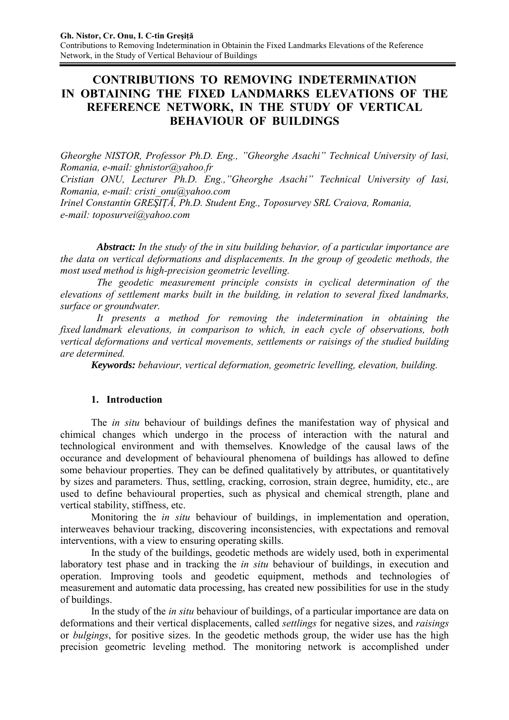# **CONTRIBUTIONS TO REMOVING INDETERMINATION IN OBTAINING THE FIXED LANDMARKS ELEVATIONS OF THE REFERENCE NETWORK, IN THE STUDY OF VERTICAL BEHAVIOUR OF BUILDINGS**

*Gheorghe NISTOR, Professor Ph.D. Eng., "Gheorghe Asachi" Technical University of Iasi, Romania, e-mail: ghnistor@yahoo.fr* 

*Cristian ONU, Lecturer Ph.D. Eng.,"Gheorghe Asachi" Technical University of Iasi, Romania, e-mail: cristi\_onu@yahoo.com* 

*Irinel Constantin GREŞIŢĂ, Ph.D. Student Eng., Toposurvey SRL Craiova, Romania, e-mail: toposurvei@yahoo.com* 

*Abstract: In the study of the in situ building behavior, of a particular importance are the data on vertical deformations and displacements. In the group of geodetic methods, the most used method is high-precision geometric levelling.*

*The geodetic measurement principle consists in cyclical determination of the elevations of settlement marks built in the building, in relation to several fixed landmarks, surface or groundwater.*

*It presents a method for removing the indetermination in obtaining the fixed landmark elevations, in comparison to which, in each cycle of observations, both vertical deformations and vertical movements, settlements or raisings of the studied building are determined.* 

*Keywords: behaviour, vertical deformation, geometric levelling, elevation, building.* 

## **1. Introduction**

The *in situ* behaviour of buildings defines the manifestation way of physical and chimical changes which undergo in the process of interaction with the natural and technological environment and with themselves. Knowledge of the causal laws of the occurance and development of behavioural phenomena of buildings has allowed to define some behaviour properties. They can be defined qualitatively by attributes, or quantitatively by sizes and parameters. Thus, settling, cracking, corrosion, strain degree, humidity, etc., are used to define behavioural properties, such as physical and chemical strength, plane and vertical stability, stiffness, etc.

Monitoring the *in situ* behaviour of buildings, in implementation and operation, interweaves behaviour tracking, discovering inconsistencies, with expectations and removal interventions, with a view to ensuring operating skills.

In the study of the buildings, geodetic methods are widely used, both in experimental laboratory test phase and in tracking the *in situ* behaviour of buildings, in execution and operation. Improving tools and geodetic equipment, methods and technologies of measurement and automatic data processing, has created new possibilities for use in the study of buildings.

In the study of the *in situ* behaviour of buildings, of a particular importance are data on deformations and their vertical displacements, called *settlings* for negative sizes, and *raisings* or *bulgings*, for positive sizes. In the geodetic methods group, the wider use has the high precision geometric leveling method. The monitoring network is accomplished under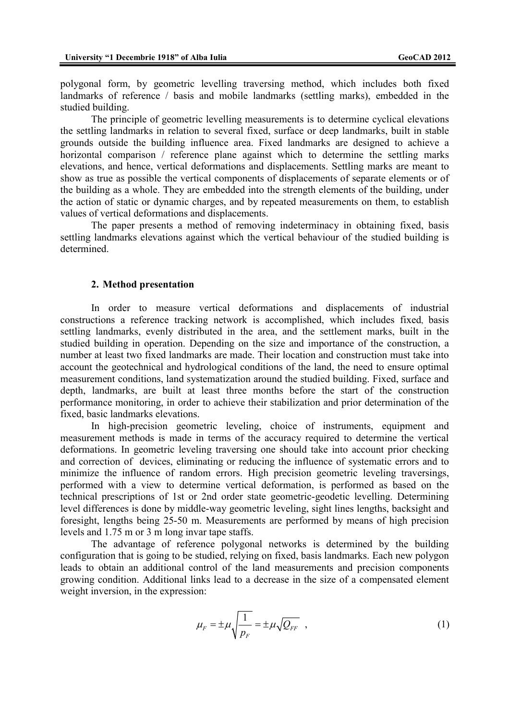polygonal form, by geometric levelling traversing method, which includes both fixed landmarks of reference / basis and mobile landmarks (settling marks), embedded in the studied building.

The principle of geometric levelling measurements is to determine cyclical elevations the settling landmarks in relation to several fixed, surface or deep landmarks, built in stable grounds outside the building influence area. Fixed landmarks are designed to achieve a horizontal comparison / reference plane against which to determine the settling marks elevations, and hence, vertical deformations and displacements. Settling marks are meant to show as true as possible the vertical components of displacements of separate elements or of the building as a whole. They are embedded into the strength elements of the building, under the action of static or dynamic charges, and by repeated measurements on them, to establish values of vertical deformations and displacements.

The paper presents a method of removing indeterminacy in obtaining fixed, basis settling landmarks elevations against which the vertical behaviour of the studied building is determined.

#### **2. Method presentation**

 In order to measure vertical deformations and displacements of industrial constructions a reference tracking network is accomplished, which includes fixed, basis settling landmarks, evenly distributed in the area, and the settlement marks, built in the studied building in operation. Depending on the size and importance of the construction, a number at least two fixed landmarks are made. Their location and construction must take into account the geotechnical and hydrological conditions of the land, the need to ensure optimal measurement conditions, land systematization around the studied building. Fixed, surface and depth, landmarks, are built at least three months before the start of the construction performance monitoring, in order to achieve their stabilization and prior determination of the fixed, basic landmarks elevations.

 In high-precision geometric leveling, choice of instruments, equipment and measurement methods is made in terms of the accuracy required to determine the vertical deformations. In geometric leveling traversing one should take into account prior checking and correction of devices, eliminating or reducing the influence of systematic errors and to minimize the influence of random errors. High precision geometric leveling traversings, performed with a view to determine vertical deformation, is performed as based on the technical prescriptions of 1st or 2nd order state geometric-geodetic levelling. Determining level differences is done by middle-way geometric leveling, sight lines lengths, backsight and foresight, lengths being 25-50 m. Measurements are performed by means of high precision levels and 1.75 m or 3 m long invar tape staffs.

 The advantage of reference polygonal networks is determined by the building configuration that is going to be studied, relying on fixed, basis landmarks. Each new polygon leads to obtain an additional control of the land measurements and precision components growing condition. Additional links lead to a decrease in the size of a compensated element weight inversion, in the expression:

$$
\mu_F = \pm \mu \sqrt{\frac{1}{p_F}} = \pm \mu \sqrt{Q_{FF}} \quad , \tag{1}
$$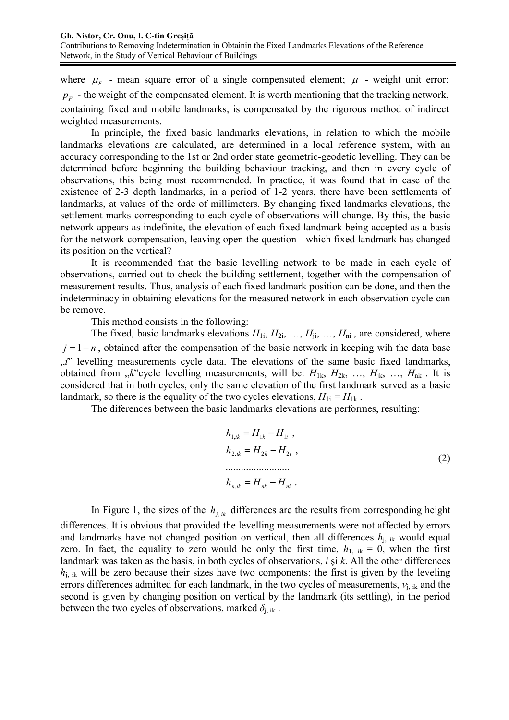where  $\mu_{F}$  - mean square error of a single compensated element;  $\mu$  - weight unit error;  $p_F$  - the weight of the compensated element. It is worth mentioning that the tracking network, containing fixed and mobile landmarks, is compensated by the rigorous method of indirect weighted measurements.

 In principle, the fixed basic landmarks elevations, in relation to which the mobile landmarks elevations are calculated, are determined in a local reference system, with an accuracy corresponding to the 1st or 2nd order state geometric-geodetic levelling. They can be determined before beginning the building behaviour tracking, and then in every cycle of observations, this being most recommended. In practice, it was found that in case of the existence of 2-3 depth landmarks, in a period of 1-2 years, there have been settlements of landmarks, at values of the orde of millimeters. By changing fixed landmarks elevations, the settlement marks corresponding to each cycle of observations will change. By this, the basic network appears as indefinite, the elevation of each fixed landmark being accepted as a basis for the network compensation, leaving open the question - which fixed landmark has changed its position on the vertical?

 It is recommended that the basic levelling network to be made in each cycle of observations, carried out to check the building settlement, together with the compensation of measurement results. Thus, analysis of each fixed landmark position can be done, and then the indeterminacy in obtaining elevations for the measured network in each observation cycle can be remove.

This method consists in the following:

The fixed, basic landmarks elevations  $H_{1i}$ ,  $H_{2i}$ , ...,  $H_{ii}$ , ...,  $H_{ni}$ , are considered, where *j* = 1−*n*, obtained after the compensation of the basic network in keeping wih the data base "<sup>*i*"</sup> levelling measurements cycle data. The elevations of the same basic fixed landmarks, obtained from  $\mu$ <sup>x</sup> cycle levelling measurements, will be:  $H_{1k}$ ,  $H_{2k}$ , ...,  $H_{ik}$ , ...,  $H_{nk}$ . It is considered that in both cycles, only the same elevation of the first landmark served as a basic landmark, so there is the equality of the two cycles elevations,  $H_{1i} = H_{1k}$ .

The diferences between the basic landmarks elevations are performes, resulting:

$$
h_{1,ik} = H_{1k} - H_{1i} ,
$$
  
\n
$$
h_{2,ik} = H_{2k} - H_{2i} ,
$$
  
\n
$$
\dots
$$
  
\n
$$
h_{n,ik} = H_{nk} - H_{ni} .
$$
  
\n(2)

In Figure 1, the sizes of the  $h_{ijk}$  differences are the results from corresponding height differences. It is obvious that provided the levelling measurements were not affected by errors and landmarks have not changed position on vertical, then all differences  $h_{j,ik}$  would equal zero. In fact, the equality to zero would be only the first time,  $h_{1,ik} = 0$ , when the first landmark was taken as the basis, in both cycles of observations, *i* şi *k*. All the other differences  $h_{i,j}$  ik will be zero because their sizes have two components: the first is given by the leveling errors differences admitted for each landmark, in the two cycles of measurements,  $v_{i,j,k}$  and the second is given by changing position on vertical by the landmark (its settling), in the period between the two cycles of observations, marked  $\delta_{i, i k}$ .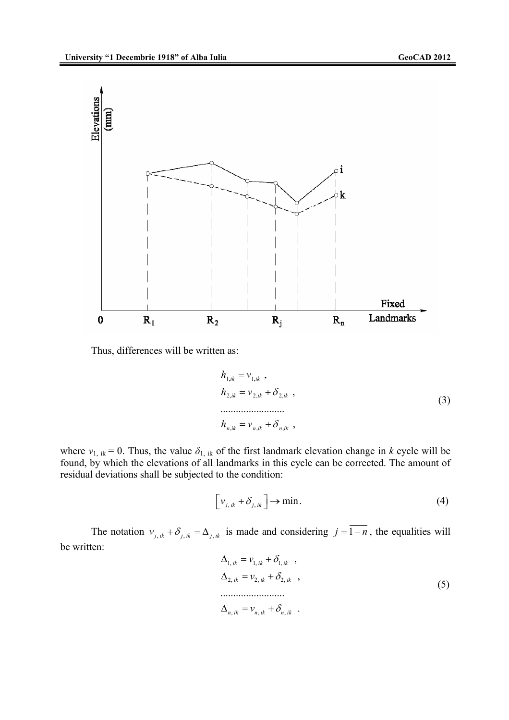

Thus, differences will be written as:

$$
h_{1,ik} = v_{1,ik} ,\nh_{2,ik} = v_{2,ik} + \delta_{2,ik} ,\n...\nh_{n,ik} = v_{n,ik} + \delta_{n,ik} ,
$$
\n(3)

where  $v_{1,ik} = 0$ . Thus, the value  $\delta_{1,ik}$  of the first landmark elevation change in *k* cycle will be found, by which the elevations of all landmarks in this cycle can be corrected. The amount of residual deviations shall be subjected to the condition:

$$
\left[\nu_{j,ik} + \delta_{j,ik}\right] \to \min. \tag{4}
$$

The notation  $v_{j, ik} + \delta_{j, ik} = \Delta_{j, ik}$  is made and considering  $j = \overline{1 - n}$ , the equalities will be written:

$$
\Delta_{1,ik} = v_{1,ik} + \delta_{1,ik} ,
$$
  
\n
$$
\Delta_{2,ik} = v_{2,ik} + \delta_{2,ik} ,
$$
  
\n
$$
\Delta_{n,ik} = v_{n,ik} + \delta_{n,ik} .
$$
\n(5)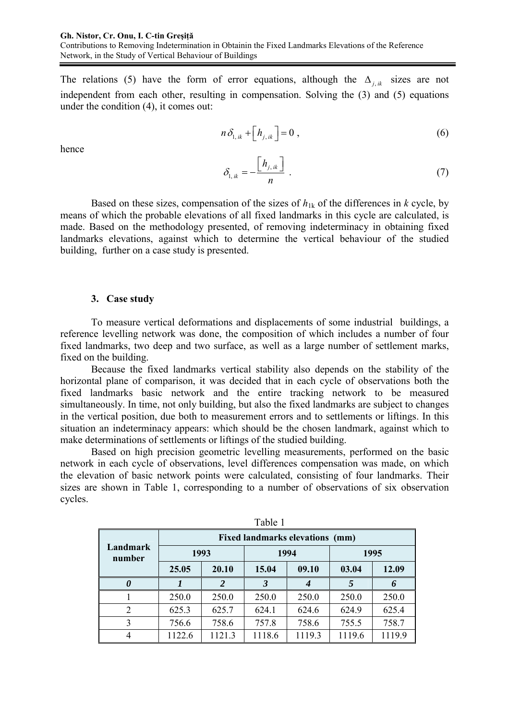The relations (5) have the form of error equations, although the  $\Delta_{ijk}$  sizes are not independent from each other, resulting in compensation. Solving the (3) and (5) equations under the condition (4), it comes out:

$$
n\,\delta_{1,ik} + \left[h_{j,ik}\right] = 0\,,\tag{6}
$$

hence

$$
\delta_{1,ik} = -\frac{\left[h_{j,ik}\right]}{n} \tag{7}
$$

Based on these sizes, compensation of the sizes of  $h_{1k}$  of the differences in  $k$  cycle, by means of which the probable elevations of all fixed landmarks in this cycle are calculated, is made. Based on the methodology presented, of removing indeterminacy in obtaining fixed landmarks elevations, against which to determine the vertical behaviour of the studied building, further on a case study is presented.

#### **3. Case study**

To measure vertical deformations and displacements of some industrial buildings, a reference levelling network was done, the composition of which includes a number of four fixed landmarks, two deep and two surface, as well as a large number of settlement marks, fixed on the building.

Because the fixed landmarks vertical stability also depends on the stability of the horizontal plane of comparison, it was decided that in each cycle of observations both the fixed landmarks basic network and the entire tracking network to be measured simultaneously. In time, not only building, but also the fixed landmarks are subject to changes in the vertical position, due both to measurement errors and to settlements or liftings. In this situation an indeterminacy appears: which should be the chosen landmark, against which to make determinations of settlements or liftings of the studied building.

Based on high precision geometric levelling measurements, performed on the basic network in each cycle of observations, level differences compensation was made, on which the elevation of basic network points were calculated, consisting of four landmarks. Their sizes are shown in Table 1, corresponding to a number of observations of six observation cycles.

|                    | <b>Fixed landmarks elevations (mm)</b> |        |        |        |        |        |  |  |  |  |  |
|--------------------|----------------------------------------|--------|--------|--------|--------|--------|--|--|--|--|--|
| Landmark<br>number | 1993                                   |        | 1994   |        | 1995   |        |  |  |  |  |  |
|                    | 25.05                                  | 20.10  | 15.04  | 09.10  | 03.04  | 12.09  |  |  |  |  |  |
|                    | 2                                      |        | 3      |        |        |        |  |  |  |  |  |
|                    | 250.0                                  | 250.0  | 250.0  | 250.0  | 250.0  | 250.0  |  |  |  |  |  |
| $\overline{2}$     | 625.3                                  | 625.7  | 624.1  | 624.6  | 624.9  | 625.4  |  |  |  |  |  |
| 3                  | 756.6                                  | 758.6  | 757.8  | 758.6  | 755.5  | 758.7  |  |  |  |  |  |
|                    | 1122.6                                 | 1121.3 | 1118.6 | 1119.3 | 1119.6 | 1119.9 |  |  |  |  |  |

Table 1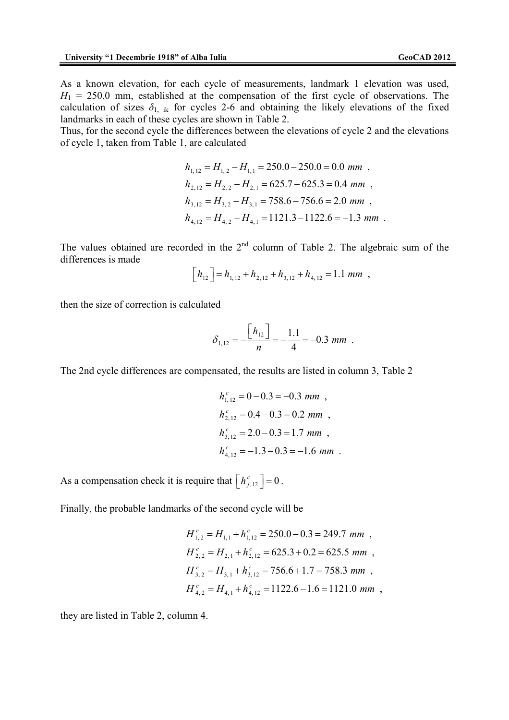As a known elevation, for each cycle of measurements, landmark 1 elevation was used,  $H_1 = 250.0$  mm, established at the compensation of the first cycle of observations. The calculation of sizes  $\delta_{1}$  ik for cycles 2-6 and obtaining the likely elevations of the fixed landmarks in each of these cycles are shown in Table 2.

Thus, for the second cycle the differences between the elevations of cycle 2 and the elevations of cycle 1, taken from Table 1, are calculated

$$
h_{1,12} = H_{1,2} - H_{1,1} = 250.0 - 250.0 = 0.0 \text{ mm},
$$
  
\n
$$
h_{2,12} = H_{2,2} - H_{2,1} = 625.7 - 625.3 = 0.4 \text{ mm},
$$
  
\n
$$
h_{3,12} = H_{3,2} - H_{3,1} = 758.6 - 756.6 = 2.0 \text{ mm},
$$
  
\n
$$
h_{4,12} = H_{4,2} - H_{4,1} = 1121.3 - 1122.6 = -1.3 \text{ mm}.
$$

The values obtained are recorded in the  $2<sup>nd</sup>$  column of Table 2. The algebraic sum of the differences is made

$$
\left[h_{12}\right] = h_{1,12} + h_{2,12} + h_{3,12} + h_{4,12} = 1.1 \text{ mm} ,
$$

then the size of correction is calculated

$$
\delta_{1,12} = -\frac{\left[h_{12}\right]}{n} = -\frac{1.1}{4} = -0.3 \, \text{mm} \, .
$$

The 2nd cycle differences are compensated, the results are listed in column 3, Table 2

$$
h_{1,12}^c = 0 - 0.3 = -0.3 \text{ mm},
$$
  
\n
$$
h_{2,12}^c = 0.4 - 0.3 = 0.2 \text{ mm},
$$
  
\n
$$
h_{3,12}^c = 2.0 - 0.3 = 1.7 \text{ mm},
$$
  
\n
$$
h_{4,12}^c = -1.3 - 0.3 = -1.6 \text{ mm}.
$$

As a compensation check it is require that  $\left[ h_{j,12}^c \right] = 0$ .

Finally, the probable landmarks of the second cycle will be

$$
H_{1,2}^{c} = H_{1,1} + h_{1,12}^{c} = 250.0 - 0.3 = 249.7 \text{ mm},
$$
  
\n
$$
H_{2,2}^{c} = H_{2,1} + h_{2,12}^{c} = 625.3 + 0.2 = 625.5 \text{ mm},
$$
  
\n
$$
H_{3,2}^{c} = H_{3,1} + h_{3,12}^{c} = 756.6 + 1.7 = 758.3 \text{ mm},
$$
  
\n
$$
H_{4,2}^{c} = H_{4,1} + h_{4,12}^{c} = 1122.6 - 1.6 = 1121.0 \text{ mm},
$$

they are listed in Table 2, column 4.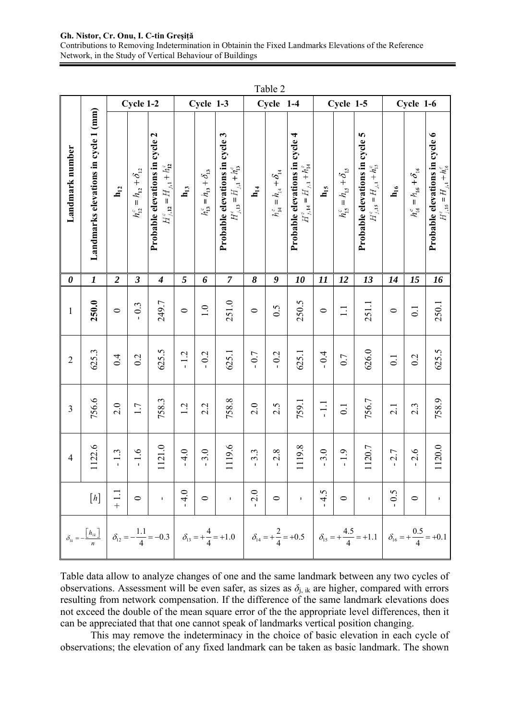#### **Gh. Nistor, Cr. Onu, I. C-tin Greşiţă**

Contributions to Removing Indetermination in Obtainin the Fixed Landmarks Elevations of the Reference Network, in the Study of Vertical Behaviour of Buildings

|                       |                                      | Table 2                                                                                                    |                               |                                                                    |                                                 |                               |                                                                                                                                                                                                                             |                                                                   |                                     |                                                                     |                 |                                   |                                                                     |                   |                                   |                                                                         |
|-----------------------|--------------------------------------|------------------------------------------------------------------------------------------------------------|-------------------------------|--------------------------------------------------------------------|-------------------------------------------------|-------------------------------|-----------------------------------------------------------------------------------------------------------------------------------------------------------------------------------------------------------------------------|-------------------------------------------------------------------|-------------------------------------|---------------------------------------------------------------------|-----------------|-----------------------------------|---------------------------------------------------------------------|-------------------|-----------------------------------|-------------------------------------------------------------------------|
|                       | Landmarks elevations in cycle 1 (mm) | Cycle 1-2                                                                                                  |                               |                                                                    | Cycle 1-3                                       |                               | Cycle<br>$1-4$                                                                                                                                                                                                              |                                                                   | Cycle 1-5                           |                                                                     |                 | Cycle 1-6                         |                                                                     |                   |                                   |                                                                         |
| Landmark number       |                                      | $\mathbf{h}_{12}$                                                                                          | $h^c_{12}=h_{12}+\delta_{12}$ | Probable elevations in cycle 2<br>$H'_{j,12} = H_{j,1} + h_{12}^c$ | $h_{13}$                                        | $h^c_{13}=h_{13}+\delta_{13}$ | Probable elevations in cycle 3<br>$H_{j,13}^e = H_{j,1} + h_{13}^e$                                                                                                                                                         | $\mathbf{h}_{14}$                                                 | $=h_{14}+\delta_{14}$<br>$h_{14}^c$ | Probable elevations in cycle 4<br>$H_{j,14}^c = H_{j,1} + h_{14}^c$ | $h_{15}$        | $h_{1s}^c = h_{1s} + \delta_{1s}$ | Probable elevations in cycle 5<br>$H_{j,15}^c = H_{j,1} + h_{15}^c$ | $\mathbf{h}_{16}$ | $h^c_{16} = h_{16} + \delta_{16}$ | Probable elevations in cycle 6<br>$H^{c}_{j,16} = H_{j,1} + h^{c}_{16}$ |
| $\boldsymbol{\theta}$ | $\boldsymbol{l}$                     | $\overline{2}$                                                                                             | $\boldsymbol{\beta}$          | $\boldsymbol{4}$                                                   | 5                                               | 6                             | $\overline{7}$                                                                                                                                                                                                              | 8                                                                 | 9                                   | 10                                                                  | 11              | 12                                | 13                                                                  | 14                | 15                                | 16                                                                      |
| 1                     | 250.0                                | $\circ$                                                                                                    | 0.3                           | 249.7                                                              | $\circ$                                         | $\overline{1.0}$              | 251.0                                                                                                                                                                                                                       | $\circ$                                                           | 0.5                                 | 250.5                                                               | $\circ$         | $\Box$                            | 251.1                                                               | $\circ$           | $\overline{0}$ .                  | 250.1                                                                   |
| $\overline{2}$        | 625.3                                | 0.4                                                                                                        | 0.2                           | 625.5                                                              | 1.2<br>$\mathbf{I}$                             | $-0.2$                        | 625.1                                                                                                                                                                                                                       | 0.7                                                               | 0.2                                 | 625.1                                                               | $-0.4$          | 0.7                               | 626.0                                                               | $\overline{0}$ .  | 0.2                               | 625.5                                                                   |
| 3                     | 756.6                                | 2.0                                                                                                        | 1.7                           | 758.3                                                              | $\dot{\mathcal{L}}$<br>$\overline{\phantom{0}}$ | 2.2                           | 758.8                                                                                                                                                                                                                       | 2.0                                                               | 2.5                                 | 759.1                                                               | $\overline{11}$ | $\overline{0}$ .                  | 756.7                                                               | 2.1               | 2.3                               | 758.9                                                                   |
| 4                     | 122.6                                | 1.3<br>$\mathbf{I}$                                                                                        | 1.6<br>$\mathbf{I}$           | 121.0                                                              | 4.0                                             | 3.0                           | 119.6                                                                                                                                                                                                                       | $3.\overline{3}$                                                  | 2.8<br>ï                            | 119.8                                                               | 3.0<br>ï        | 1.9                               | 120.7                                                               | 2.7               | 2.6                               | 120.0                                                                   |
|                       |                                      | $[h] \begin{array}{ c c c } \hline \cdots & \cdots & \cdots \ \hline \cdots & \cdots & \cdots \end{array}$ |                               | $\sim$ 1.                                                          | 4.0                                             | $\circ$                       | $\mathbf{u} \in \mathbb{R}^d$                                                                                                                                                                                               | $\begin{array}{ c c c }\n\hline\n-2.0 & 0 \\ \hline\n\end{array}$ |                                     | $\sim$ r                                                            | 4.5             | $\circ$                           | $\frac{1}{2}$                                                       | $-0.5$            | $\circ$                           | $\bar{\textbf{I}}$                                                      |
|                       |                                      |                                                                                                            |                               |                                                                    |                                                 |                               | $\delta_{1k} = -\frac{h_{1k}}{n}$ $\delta_{12} = -\frac{1.1}{4} = -0.3$ $\delta_{13} = +\frac{4}{4} = +1.0$ $\delta_{14} = +\frac{2}{4} = +0.5$ $\delta_{15} = +\frac{4.5}{4} = +1.1$ $\delta_{16} = +\frac{0.5}{4} = +0.1$ |                                                                   |                                     |                                                                     |                 |                                   |                                                                     |                   |                                   |                                                                         |

Table data allow to analyze changes of one and the same landmark between any two cycles of observations. Assessment will be even safer, as sizes as  $\delta_{i, i k}$  are higher, compared with errors resulting from network compensation. If the difference of the same landmark elevations does not exceed the double of the mean square error of the the appropriate level differences, then it can be appreciated that that one cannot speak of landmarks vertical position changing.

This may remove the indeterminacy in the choice of basic elevation in each cycle of observations; the elevation of any fixed landmark can be taken as basic landmark. The shown